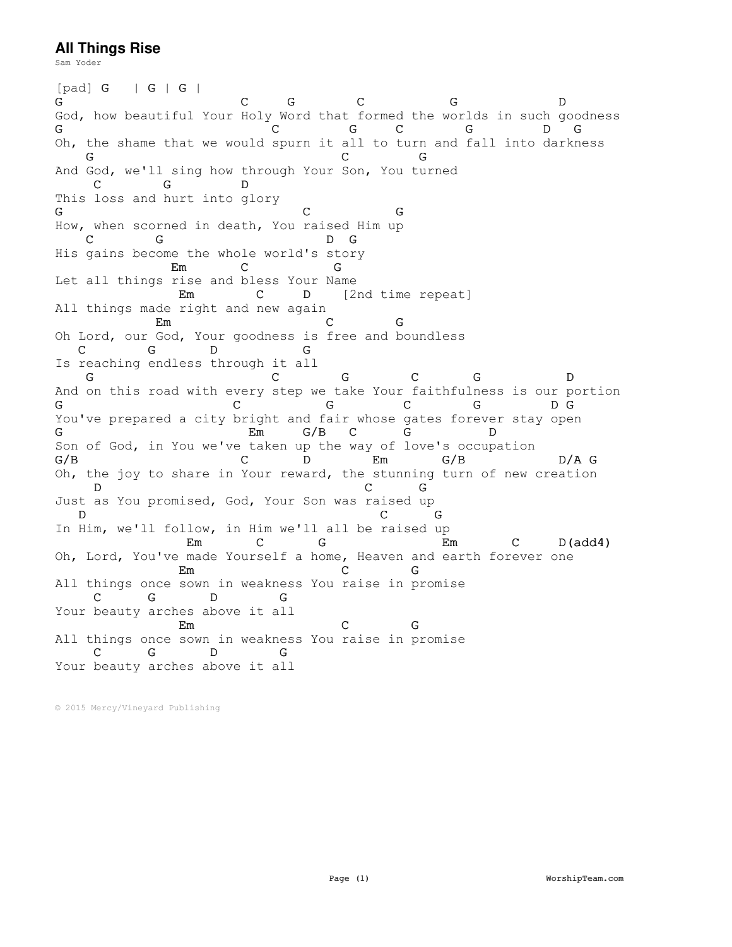## **All Things Rise**

Sam Yoder

 $\begin{array}{ccc} \texttt{[pad]} \texttt{G} & \texttt{|} \texttt{G} \texttt{|} \texttt{G} \texttt{|} \\ \texttt{G} & \end{array}$ G C G C G D God, how beautiful Your Holy Word that formed the worlds in such goodness G C G C G D G Oh, the shame that we would spurn it all to turn and fall into darkness G C G And God, we'll sing how through Your Son, You turned C G This loss and hurt into glory G C G How, when scorned in death, You raised Him up C G D G His gains become the whole world's story Em C G Let all things rise and bless Your Name Em C D [2nd time repeat] All things made right and new again Em C G Oh Lord, our God, Your goodness is free and boundless<br>
C G D G C G D G Is reaching endless through it all G C G C G D And on this road with every step we take Your faithfulness is our portion G C G C G D G You've prepared a city bright and fair whose gates forever stay open G Em G/B C G D Son of God, in You we've taken up the way of love's occupation G/B C D Em G/B D/A G Oh, the joy to share in Your reward, the stunning turn of new creation D C G Just as You promised, God, Your Son was raised up D C G In Him, we'll follow, in Him we'll all be raised up Em C G Em C D(add4) Oh, Lord, You've made Yourself a home, Heaven and earth forever one Em C G All things once sown in weakness You raise in promise<br>
C G D G D G Your beauty arches above it all Em C G All things once sown in weakness You raise in promise<br>C G D G C G D G Your beauty arches above it all

© 2015 Mercy/Vineyard Publishing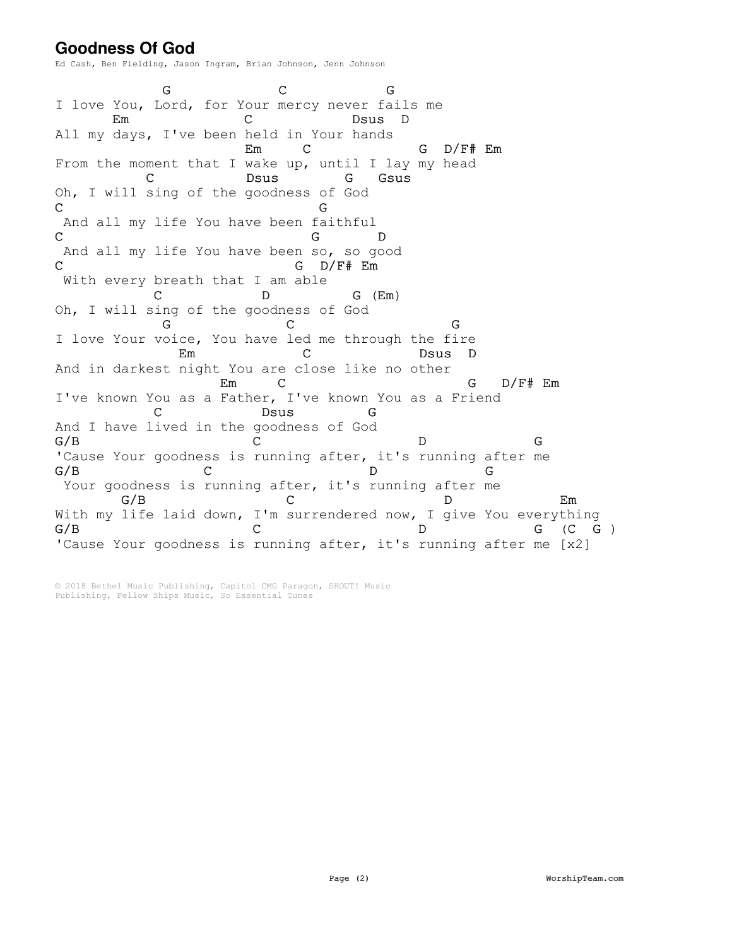## **Goodness Of God**

Ed Cash, Ben Fielding, Jason Ingram, Brian Johnson, Jenn Johnson

G C G I love You, Lord, for Your mercy never fails me Em C Dsus D All my days, I've been held in Your hands Em C G D/F# Em From the moment that I wake up, until I lay my head C Dsus G Gsus Oh, I will sing of the goodness of God C<sub>G</sub> C<sub>G</sub> And all my life You have been faithful C D And all my life You have been so, so good C G D/F# Em With every breath that I am able D G (Em) Oh, I will sing of the goodness of God G C G I love Your voice, You have led me through the fire Em C Dsus D And in darkest night You are close like no other Em C G D/F# Em I've known You as a Father, I've known You as a Friend C Dsus G And I have lived in the goodness of God  $G/B$  C D G 'Cause Your goodness is running after, it's running after me  $G/B$  C D G Your goodness is running after, it's running after me G/B C D Em With my life laid down, I'm surrendered now, I give You everything  $G/B$  C D G (C G ) 'Cause Your goodness is running after, it's running after me [x2]

© 2018 Bethel Music Publishing, Capitol CMG Paragon, SHOUT! Music Publishing, Fellow Ships Music, So Essential Tunes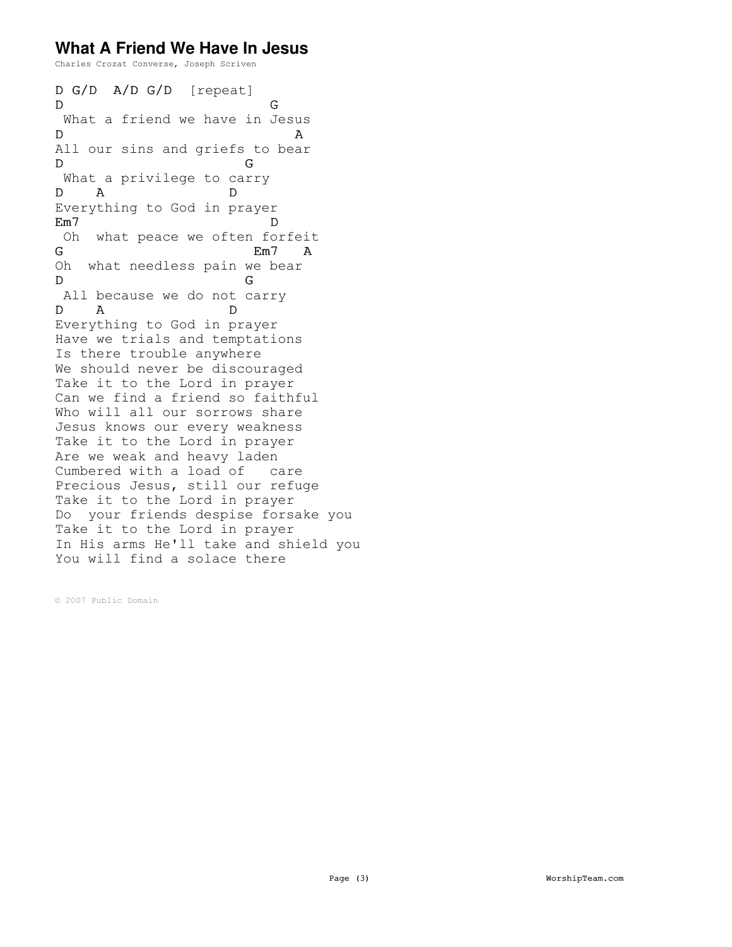## **What A Friend We Have In Jesus**

Charles Crozat Converse, Joseph Scriven

D G/D A/D G/D [repeat] D<sub>Q</sub> What a friend we have in Jesus D A All our sins and griefs to bear D G What a privilege to carry D A D Everything to God in prayer Em7 D Oh what peace we often forfeit<br>
G Em7 A Em7 A Oh what needless pain we bear D G All because we do not carry D A D Everything to God in prayer Have we trials and temptations Is there trouble anywhere We should never be discouraged Take it to the Lord in prayer Can we find a friend so faithful Who will all our sorrows share Jesus knows our every weakness Take it to the Lord in prayer Are we weak and heavy laden Cumbered with a load of care Precious Jesus, still our refuge Take it to the Lord in prayer Do your friends despise forsake you Take it to the Lord in prayer In His arms He'll take and shield you You will find a solace there

© 2007 Public Domain